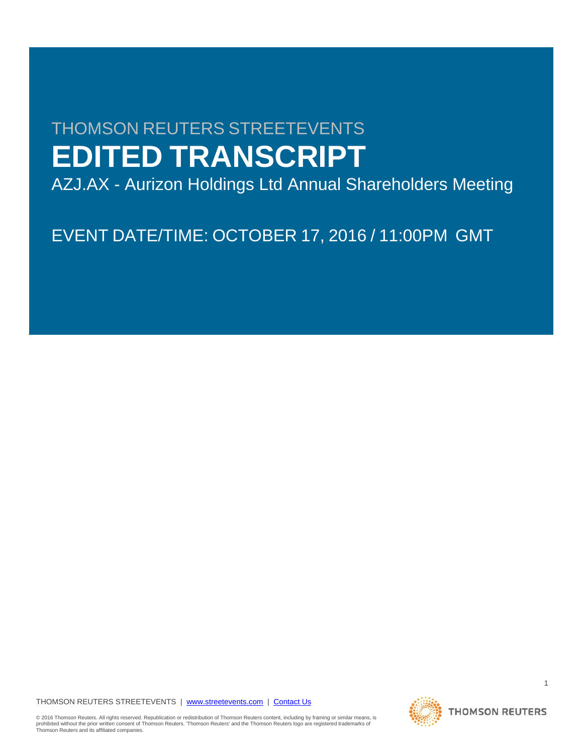# THOMSON REUTERS STREETEVENTS **EDITED TRANSCRIPT**

AZJ.AX - Aurizon Holdings Ltd Annual Shareholders Meeting

EVENT DATE/TIME: OCTOBER 17, 2016 / 11:00PM GMT

THOMSON REUTERS STREETEVENTS | [www.streetevents.com](http://www.streetevents.com/) | [Contact Us](http://www010.streetevents.com/contact.asp)

© 2016 Thomson Reuters. All rights reserved. Republication or redistribution of Thomson Reuters content, including by framing or similar means, is<br>prohibited without the prior written consent of Thomson Reuters. 'Thomson R Thomson Reuters and its affiliated companies.



1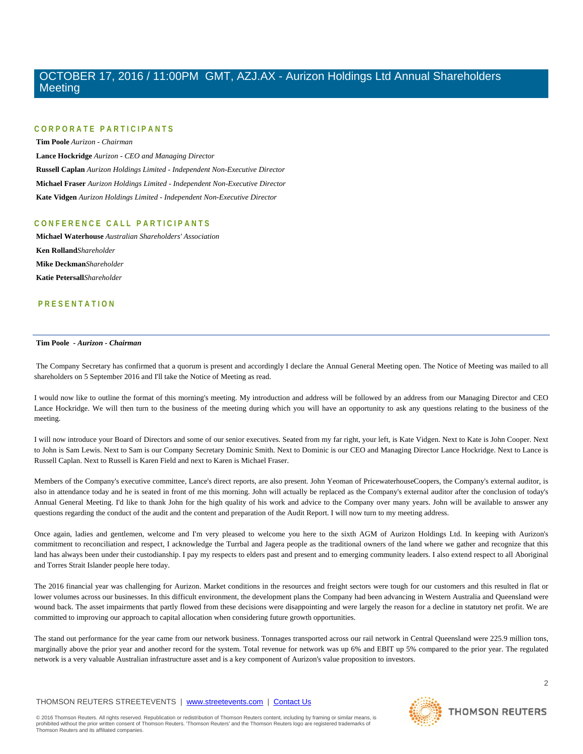# **CORPORATE PARTICIPAN T S**

**Tim Poole** *Aurizon - Chairman* **Lance Hockridge** *Aurizon - CEO and Managing Director* **Russell Caplan** *Aurizon Holdings Limited - Independent Non-Executive Director* **Michael Fraser** *Aurizon Holdings Limited - Independent Non-Executive Director* **Kate Vidgen** *Aurizon Holdings Limited - Independent Non-Executive Director*

# **CONFERENCE CALL PART ICIPANTS**

**Michael Waterhouse** *Australian Shareholders' Association* **Ken Rolland***Shareholder* **Mike Deckman***Shareholder* **Katie Petersall***Shareholder*

# **PRESENTATION**

#### **Tim Poole** *- Aurizon - Chairman*

The Company Secretary has confirmed that a quorum is present and accordingly I declare the Annual General Meeting open. The Notice of Meeting was mailed to all shareholders on 5 September 2016 and I'll take the Notice of Meeting as read.

I would now like to outline the format of this morning's meeting. My introduction and address will be followed by an address from our Managing Director and CEO Lance Hockridge. We will then turn to the business of the meeting during which you will have an opportunity to ask any questions relating to the business of the meeting.

I will now introduce your Board of Directors and some of our senior executives. Seated from my far right, your left, is Kate Vidgen. Next to Kate is John Cooper. Next to John is Sam Lewis. Next to Sam is our Company Secretary Dominic Smith. Next to Dominic is our CEO and Managing Director Lance Hockridge. Next to Lance is Russell Caplan. Next to Russell is Karen Field and next to Karen is Michael Fraser.

Members of the Company's executive committee, Lance's direct reports, are also present. John Yeoman of PricewaterhouseCoopers, the Company's external auditor, is also in attendance today and he is seated in front of me this morning. John will actually be replaced as the Company's external auditor after the conclusion of today's Annual General Meeting. I'd like to thank John for the high quality of his work and advice to the Company over many years. John will be available to answer any questions regarding the conduct of the audit and the content and preparation of the Audit Report. I will now turn to my meeting address.

Once again, ladies and gentlemen, welcome and I'm very pleased to welcome you here to the sixth AGM of Aurizon Holdings Ltd. In keeping with Aurizon's commitment to reconciliation and respect, I acknowledge the Turrbal and Jagera people as the traditional owners of the land where we gather and recognize that this land has always been under their custodianship. I pay my respects to elders past and present and to emerging community leaders. I also extend respect to all Aboriginal and Torres Strait Islander people here today.

The 2016 financial year was challenging for Aurizon. Market conditions in the resources and freight sectors were tough for our customers and this resulted in flat or lower volumes across our businesses. In this difficult environment, the development plans the Company had been advancing in Western Australia and Queensland were wound back. The asset impairments that partly flowed from these decisions were disappointing and were largely the reason for a decline in statutory net profit. We are committed to improving our approach to capital allocation when considering future growth opportunities.

The stand out performance for the year came from our network business. Tonnages transported across our rail network in Central Queensland were 225.9 million tons, marginally above the prior year and another record for the system. Total revenue for network was up 6% and EBIT up 5% compared to the prior year. The regulated network is a very valuable Australian infrastructure asset and is a key component of Aurizon's value proposition to investors.

#### THOMSON REUTERS STREETEVENTS | [www.streetevents.com](http://www.streetevents.com/) | [Contact Us](http://www010.streetevents.com/contact.asp)

© 2016 Thomson Reuters. All rights reserved. Republication or redistribution of Thomson Reuters content, including by framing or similar means, is<br>prohibited without the prior written consent of Thomson Reuters. 'Thomson R Thomson Reuters and its affiliated companies.

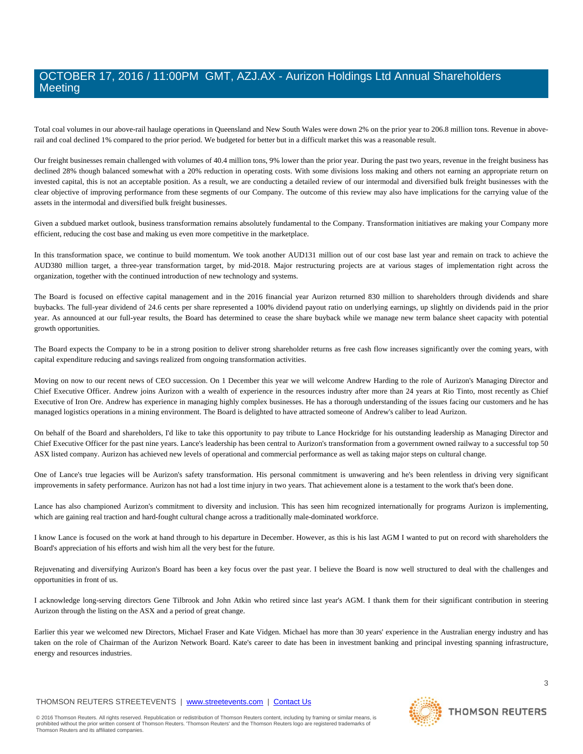Total coal volumes in our above-rail haulage operations in Queensland and New South Wales were down 2% on the prior year to 206.8 million tons. Revenue in aboverail and coal declined 1% compared to the prior period. We budgeted for better but in a difficult market this was a reasonable result.

Our freight businesses remain challenged with volumes of 40.4 million tons, 9% lower than the prior year. During the past two years, revenue in the freight business has declined 28% though balanced somewhat with a 20% reduction in operating costs. With some divisions loss making and others not earning an appropriate return on invested capital, this is not an acceptable position. As a result, we are conducting a detailed review of our intermodal and diversified bulk freight businesses with the clear objective of improving performance from these segments of our Company. The outcome of this review may also have implications for the carrying value of the assets in the intermodal and diversified bulk freight businesses.

Given a subdued market outlook, business transformation remains absolutely fundamental to the Company. Transformation initiatives are making your Company more efficient, reducing the cost base and making us even more competitive in the marketplace.

In this transformation space, we continue to build momentum. We took another AUD131 million out of our cost base last year and remain on track to achieve the AUD380 million target, a three-year transformation target, by mid-2018. Major restructuring projects are at various stages of implementation right across the organization, together with the continued introduction of new technology and systems.

The Board is focused on effective capital management and in the 2016 financial year Aurizon returned 830 million to shareholders through dividends and share buybacks. The full-year dividend of 24.6 cents per share represented a 100% dividend payout ratio on underlying earnings, up slightly on dividends paid in the prior year. As announced at our full-year results, the Board has determined to cease the share buyback while we manage new term balance sheet capacity with potential growth opportunities.

The Board expects the Company to be in a strong position to deliver strong shareholder returns as free cash flow increases significantly over the coming years, with capital expenditure reducing and savings realized from ongoing transformation activities.

Moving on now to our recent news of CEO succession. On 1 December this year we will welcome Andrew Harding to the role of Aurizon's Managing Director and Chief Executive Officer. Andrew joins Aurizon with a wealth of experience in the resources industry after more than 24 years at Rio Tinto, most recently as Chief Executive of Iron Ore. Andrew has experience in managing highly complex businesses. He has a thorough understanding of the issues facing our customers and he has managed logistics operations in a mining environment. The Board is delighted to have attracted someone of Andrew's caliber to lead Aurizon.

On behalf of the Board and shareholders, I'd like to take this opportunity to pay tribute to Lance Hockridge for his outstanding leadership as Managing Director and Chief Executive Officer for the past nine years. Lance's leadership has been central to Aurizon's transformation from a government owned railway to a successful top 50 ASX listed company. Aurizon has achieved new levels of operational and commercial performance as well as taking major steps on cultural change.

One of Lance's true legacies will be Aurizon's safety transformation. His personal commitment is unwavering and he's been relentless in driving very significant improvements in safety performance. Aurizon has not had a lost time injury in two years. That achievement alone is a testament to the work that's been done.

Lance has also championed Aurizon's commitment to diversity and inclusion. This has seen him recognized internationally for programs Aurizon is implementing, which are gaining real traction and hard-fought cultural change across a traditionally male-dominated workforce.

I know Lance is focused on the work at hand through to his departure in December. However, as this is his last AGM I wanted to put on record with shareholders the Board's appreciation of his efforts and wish him all the very best for the future.

Rejuvenating and diversifying Aurizon's Board has been a key focus over the past year. I believe the Board is now well structured to deal with the challenges and opportunities in front of us.

I acknowledge long-serving directors Gene Tilbrook and John Atkin who retired since last year's AGM. I thank them for their significant contribution in steering Aurizon through the listing on the ASX and a period of great change.

Earlier this year we welcomed new Directors, Michael Fraser and Kate Vidgen. Michael has more than 30 years' experience in the Australian energy industry and has taken on the role of Chairman of the Aurizon Network Board. Kate's career to date has been in investment banking and principal investing spanning infrastructure, energy and resources industries.

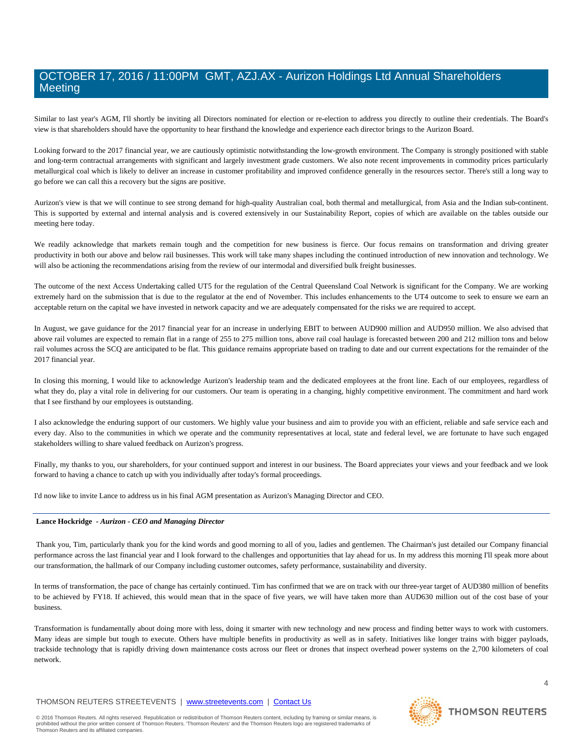Similar to last year's AGM, I'll shortly be inviting all Directors nominated for election or re-election to address you directly to outline their credentials. The Board's view is that shareholders should have the opportunity to hear firsthand the knowledge and experience each director brings to the Aurizon Board.

Looking forward to the 2017 financial year, we are cautiously optimistic notwithstanding the low-growth environment. The Company is strongly positioned with stable and long-term contractual arrangements with significant and largely investment grade customers. We also note recent improvements in commodity prices particularly metallurgical coal which is likely to deliver an increase in customer profitability and improved confidence generally in the resources sector. There's still a long way to go before we can call this a recovery but the signs are positive.

Aurizon's view is that we will continue to see strong demand for high-quality Australian coal, both thermal and metallurgical, from Asia and the Indian sub-continent. This is supported by external and internal analysis and is covered extensively in our Sustainability Report, copies of which are available on the tables outside our meeting here today.

We readily acknowledge that markets remain tough and the competition for new business is fierce. Our focus remains on transformation and driving greater productivity in both our above and below rail businesses. This work will take many shapes including the continued introduction of new innovation and technology. We will also be actioning the recommendations arising from the review of our intermodal and diversified bulk freight businesses.

The outcome of the next Access Undertaking called UT5 for the regulation of the Central Queensland Coal Network is significant for the Company. We are working extremely hard on the submission that is due to the regulator at the end of November. This includes enhancements to the UT4 outcome to seek to ensure we earn an acceptable return on the capital we have invested in network capacity and we are adequately compensated for the risks we are required to accept.

In August, we gave guidance for the 2017 financial year for an increase in underlying EBIT to between AUD900 million and AUD950 million. We also advised that above rail volumes are expected to remain flat in a range of 255 to 275 million tons, above rail coal haulage is forecasted between 200 and 212 million tons and below rail volumes across the SCQ are anticipated to be flat. This guidance remains appropriate based on trading to date and our current expectations for the remainder of the 2017 financial year.

In closing this morning, I would like to acknowledge Aurizon's leadership team and the dedicated employees at the front line. Each of our employees, regardless of what they do, play a vital role in delivering for our customers. Our team is operating in a changing, highly competitive environment. The commitment and hard work that I see firsthand by our employees is outstanding.

I also acknowledge the enduring support of our customers. We highly value your business and aim to provide you with an efficient, reliable and safe service each and every day. Also to the communities in which we operate and the community representatives at local, state and federal level, we are fortunate to have such engaged stakeholders willing to share valued feedback on Aurizon's progress.

Finally, my thanks to you, our shareholders, for your continued support and interest in our business. The Board appreciates your views and your feedback and we look forward to having a chance to catch up with you individually after today's formal proceedings.

I'd now like to invite Lance to address us in his final AGM presentation as Aurizon's Managing Director and CEO.

#### **Lance Hockridge** *- Aurizon - CEO and Managing Director*

Thank you, Tim, particularly thank you for the kind words and good morning to all of you, ladies and gentlemen. The Chairman's just detailed our Company financial performance across the last financial year and I look forward to the challenges and opportunities that lay ahead for us. In my address this morning I'll speak more about our transformation, the hallmark of our Company including customer outcomes, safety performance, sustainability and diversity.

In terms of transformation, the pace of change has certainly continued. Tim has confirmed that we are on track with our three-year target of AUD380 million of benefits to be achieved by FY18. If achieved, this would mean that in the space of five years, we will have taken more than AUD630 million out of the cost base of your business.

Transformation is fundamentally about doing more with less, doing it smarter with new technology and new process and finding better ways to work with customers. Many ideas are simple but tough to execute. Others have multiple benefits in productivity as well as in safety. Initiatives like longer trains with bigger payloads, trackside technology that is rapidly driving down maintenance costs across our fleet or drones that inspect overhead power systems on the 2,700 kilometers of coal network.

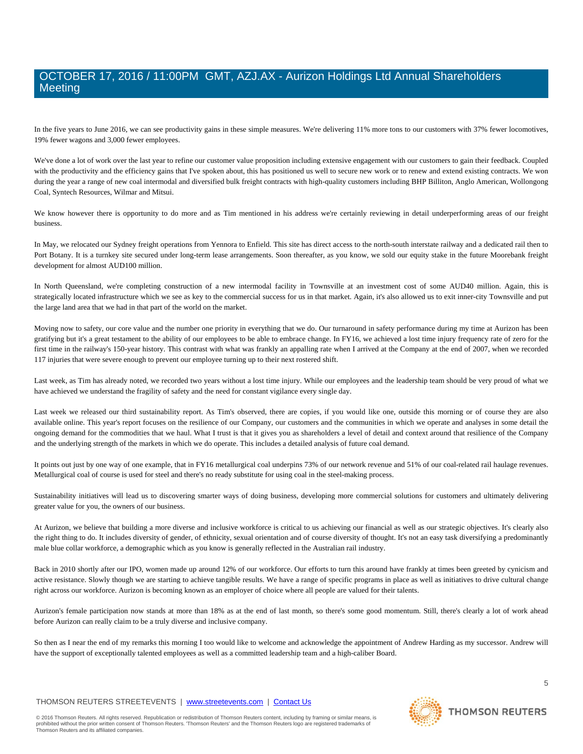In the five years to June 2016, we can see productivity gains in these simple measures. We're delivering 11% more tons to our customers with 37% fewer locomotives, 19% fewer wagons and 3,000 fewer employees.

We've done a lot of work over the last year to refine our customer value proposition including extensive engagement with our customers to gain their feedback. Coupled with the productivity and the efficiency gains that I've spoken about, this has positioned us well to secure new work or to renew and extend existing contracts. We won during the year a range of new coal intermodal and diversified bulk freight contracts with high-quality customers including BHP Billiton, Anglo American, Wollongong Coal, Syntech Resources, Wilmar and Mitsui.

We know however there is opportunity to do more and as Tim mentioned in his address we're certainly reviewing in detail underperforming areas of our freight business.

In May, we relocated our Sydney freight operations from Yennora to Enfield. This site has direct access to the north-south interstate railway and a dedicated rail then to Port Botany. It is a turnkey site secured under long-term lease arrangements. Soon thereafter, as you know, we sold our equity stake in the future Moorebank freight development for almost AUD100 million.

In North Queensland, we're completing construction of a new intermodal facility in Townsville at an investment cost of some AUD40 million. Again, this is strategically located infrastructure which we see as key to the commercial success for us in that market. Again, it's also allowed us to exit inner-city Townsville and put the large land area that we had in that part of the world on the market.

Moving now to safety, our core value and the number one priority in everything that we do. Our turnaround in safety performance during my time at Aurizon has been gratifying but it's a great testament to the ability of our employees to be able to embrace change. In FY16, we achieved a lost time injury frequency rate of zero for the first time in the railway's 150-year history. This contrast with what was frankly an appalling rate when I arrived at the Company at the end of 2007, when we recorded 117 injuries that were severe enough to prevent our employee turning up to their next rostered shift.

Last week, as Tim has already noted, we recorded two years without a lost time injury. While our employees and the leadership team should be very proud of what we have achieved we understand the fragility of safety and the need for constant vigilance every single day.

Last week we released our third sustainability report. As Tim's observed, there are copies, if you would like one, outside this morning or of course they are also available online. This year's report focuses on the resilience of our Company, our customers and the communities in which we operate and analyses in some detail the ongoing demand for the commodities that we haul. What I trust is that it gives you as shareholders a level of detail and context around that resilience of the Company and the underlying strength of the markets in which we do operate. This includes a detailed analysis of future coal demand.

It points out just by one way of one example, that in FY16 metallurgical coal underpins 73% of our network revenue and 51% of our coal-related rail haulage revenues. Metallurgical coal of course is used for steel and there's no ready substitute for using coal in the steel-making process.

Sustainability initiatives will lead us to discovering smarter ways of doing business, developing more commercial solutions for customers and ultimately delivering greater value for you, the owners of our business.

At Aurizon, we believe that building a more diverse and inclusive workforce is critical to us achieving our financial as well as our strategic objectives. It's clearly also the right thing to do. It includes diversity of gender, of ethnicity, sexual orientation and of course diversity of thought. It's not an easy task diversifying a predominantly male blue collar workforce, a demographic which as you know is generally reflected in the Australian rail industry.

Back in 2010 shortly after our IPO, women made up around 12% of our workforce. Our efforts to turn this around have frankly at times been greeted by cynicism and active resistance. Slowly though we are starting to achieve tangible results. We have a range of specific programs in place as well as initiatives to drive cultural change right across our workforce. Aurizon is becoming known as an employer of choice where all people are valued for their talents.

Aurizon's female participation now stands at more than 18% as at the end of last month, so there's some good momentum. Still, there's clearly a lot of work ahead before Aurizon can really claim to be a truly diverse and inclusive company.

So then as I near the end of my remarks this morning I too would like to welcome and acknowledge the appointment of Andrew Harding as my successor. Andrew will have the support of exceptionally talented employees as well as a committed leadership team and a high-caliber Board.

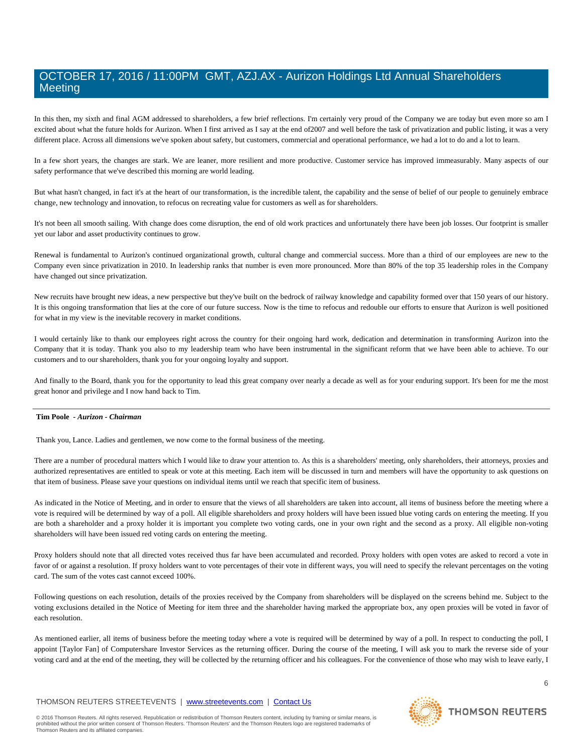In this then, my sixth and final AGM addressed to shareholders, a few brief reflections. I'm certainly very proud of the Company we are today but even more so am I excited about what the future holds for Aurizon. When I first arrived as I say at the end of2007 and well before the task of privatization and public listing, it was a very different place. Across all dimensions we've spoken about safety, but customers, commercial and operational performance, we had a lot to do and a lot to learn.

In a few short years, the changes are stark. We are leaner, more resilient and more productive. Customer service has improved immeasurably. Many aspects of our safety performance that we've described this morning are world leading.

But what hasn't changed, in fact it's at the heart of our transformation, is the incredible talent, the capability and the sense of belief of our people to genuinely embrace change, new technology and innovation, to refocus on recreating value for customers as well as for shareholders.

It's not been all smooth sailing. With change does come disruption, the end of old work practices and unfortunately there have been job losses. Our footprint is smaller yet our labor and asset productivity continues to grow.

Renewal is fundamental to Aurizon's continued organizational growth, cultural change and commercial success. More than a third of our employees are new to the Company even since privatization in 2010. In leadership ranks that number is even more pronounced. More than 80% of the top 35 leadership roles in the Company have changed out since privatization.

New recruits have brought new ideas, a new perspective but they've built on the bedrock of railway knowledge and capability formed over that 150 years of our history. It is this ongoing transformation that lies at the core of our future success. Now is the time to refocus and redouble our efforts to ensure that Aurizon is well positioned for what in my view is the inevitable recovery in market conditions.

I would certainly like to thank our employees right across the country for their ongoing hard work, dedication and determination in transforming Aurizon into the Company that it is today. Thank you also to my leadership team who have been instrumental in the significant reform that we have been able to achieve. To our customers and to our shareholders, thank you for your ongoing loyalty and support.

And finally to the Board, thank you for the opportunity to lead this great company over nearly a decade as well as for your enduring support. It's been for me the most great honor and privilege and I now hand back to Tim.

#### **Tim Poole** *- Aurizon - Chairman*

Thank you, Lance. Ladies and gentlemen, we now come to the formal business of the meeting.

There are a number of procedural matters which I would like to draw your attention to. As this is a shareholders' meeting, only shareholders, their attorneys, proxies and authorized representatives are entitled to speak or vote at this meeting. Each item will be discussed in turn and members will have the opportunity to ask questions on that item of business. Please save your questions on individual items until we reach that specific item of business.

As indicated in the Notice of Meeting, and in order to ensure that the views of all shareholders are taken into account, all items of business before the meeting where a vote is required will be determined by way of a poll. All eligible shareholders and proxy holders will have been issued blue voting cards on entering the meeting. If you are both a shareholder and a proxy holder it is important you complete two voting cards, one in your own right and the second as a proxy. All eligible non-voting shareholders will have been issued red voting cards on entering the meeting.

Proxy holders should note that all directed votes received thus far have been accumulated and recorded. Proxy holders with open votes are asked to record a vote in favor of or against a resolution. If proxy holders want to vote percentages of their vote in different ways, you will need to specify the relevant percentages on the voting card. The sum of the votes cast cannot exceed 100%.

Following questions on each resolution, details of the proxies received by the Company from shareholders will be displayed on the screens behind me. Subject to the voting exclusions detailed in the Notice of Meeting for item three and the shareholder having marked the appropriate box, any open proxies will be voted in favor of each resolution.

As mentioned earlier, all items of business before the meeting today where a vote is required will be determined by way of a poll. In respect to conducting the poll, I appoint [Taylor Fan] of Computershare Investor Services as the returning officer. During the course of the meeting, I will ask you to mark the reverse side of your voting card and at the end of the meeting, they will be collected by the returning officer and his colleagues. For the convenience of those who may wish to leave early, I

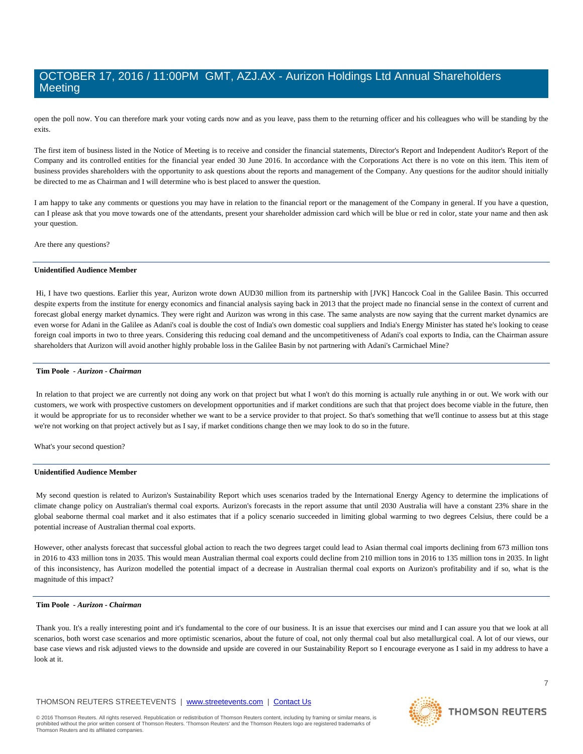open the poll now. You can therefore mark your voting cards now and as you leave, pass them to the returning officer and his colleagues who will be standing by the exits.

The first item of business listed in the Notice of Meeting is to receive and consider the financial statements, Director's Report and Independent Auditor's Report of the Company and its controlled entities for the financial year ended 30 June 2016. In accordance with the Corporations Act there is no vote on this item. This item of business provides shareholders with the opportunity to ask questions about the reports and management of the Company. Any questions for the auditor should initially be directed to me as Chairman and I will determine who is best placed to answer the question.

I am happy to take any comments or questions you may have in relation to the financial report or the management of the Company in general. If you have a question, can I please ask that you move towards one of the attendants, present your shareholder admission card which will be blue or red in color, state your name and then ask your question.

Are there any questions?

#### **Unidentified Audience Member**

Hi, I have two questions. Earlier this year, Aurizon wrote down AUD30 million from its partnership with [JVK] Hancock Coal in the Galilee Basin. This occurred despite experts from the institute for energy economics and financial analysis saying back in 2013 that the project made no financial sense in the context of current and forecast global energy market dynamics. They were right and Aurizon was wrong in this case. The same analysts are now saying that the current market dynamics are even worse for Adani in the Galilee as Adani's coal is double the cost of India's own domestic coal suppliers and India's Energy Minister has stated he's looking to cease foreign coal imports in two to three years. Considering this reducing coal demand and the uncompetitiveness of Adani's coal exports to India, can the Chairman assure shareholders that Aurizon will avoid another highly probable loss in the Galilee Basin by not partnering with Adani's Carmichael Mine?

#### **Tim Poole** *- Aurizon - Chairman*

In relation to that project we are currently not doing any work on that project but what I won't do this morning is actually rule anything in or out. We work with our customers, we work with prospective customers on development opportunities and if market conditions are such that that project does become viable in the future, then it would be appropriate for us to reconsider whether we want to be a service provider to that project. So that's something that we'll continue to assess but at this stage we're not working on that project actively but as I say, if market conditions change then we may look to do so in the future.

What's your second question?

#### **Unidentified Audience Member**

My second question is related to Aurizon's Sustainability Report which uses scenarios traded by the International Energy Agency to determine the implications of climate change policy on Australian's thermal coal exports. Aurizon's forecasts in the report assume that until 2030 Australia will have a constant 23% share in the global seaborne thermal coal market and it also estimates that if a policy scenario succeeded in limiting global warming to two degrees Celsius, there could be a potential increase of Australian thermal coal exports.

However, other analysts forecast that successful global action to reach the two degrees target could lead to Asian thermal coal imports declining from 673 million tons in 2016 to 433 million tons in 2035. This would mean Australian thermal coal exports could decline from 210 million tons in 2016 to 135 million tons in 2035. In light of this inconsistency, has Aurizon modelled the potential impact of a decrease in Australian thermal coal exports on Aurizon's profitability and if so, what is the magnitude of this impact?

### **Tim Poole** *- Aurizon - Chairman*

Thank you. It's a really interesting point and it's fundamental to the core of our business. It is an issue that exercises our mind and I can assure you that we look at all scenarios, both worst case scenarios and more optimistic scenarios, about the future of coal, not only thermal coal but also metallurgical coal. A lot of our views, our base case views and risk adjusted views to the downside and upside are covered in our Sustainability Report so I encourage everyone as I said in my address to have a look at it.

#### THOMSON REUTERS STREETEVENTS | [www.streetevents.com](http://www.streetevents.com/) | [Contact Us](http://www010.streetevents.com/contact.asp)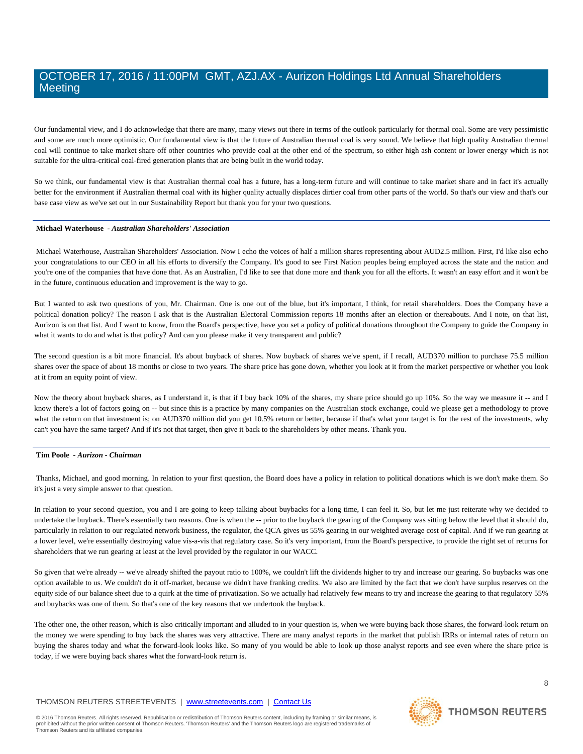Our fundamental view, and I do acknowledge that there are many, many views out there in terms of the outlook particularly for thermal coal. Some are very pessimistic and some are much more optimistic. Our fundamental view is that the future of Australian thermal coal is very sound. We believe that high quality Australian thermal coal will continue to take market share off other countries who provide coal at the other end of the spectrum, so either high ash content or lower energy which is not suitable for the ultra-critical coal-fired generation plants that are being built in the world today.

So we think, our fundamental view is that Australian thermal coal has a future, has a long-term future and will continue to take market share and in fact it's actually better for the environment if Australian thermal coal with its higher quality actually displaces dirtier coal from other parts of the world. So that's our view and that's our base case view as we've set out in our Sustainability Report but thank you for your two questions.

#### **Michael Waterhouse** *- Australian Shareholders' Association*

Michael Waterhouse, Australian Shareholders' Association. Now I echo the voices of half a million shares representing about AUD2.5 million. First, I'd like also echo your congratulations to our CEO in all his efforts to diversify the Company. It's good to see First Nation peoples being employed across the state and the nation and you're one of the companies that have done that. As an Australian, I'd like to see that done more and thank you for all the efforts. It wasn't an easy effort and it won't be in the future, continuous education and improvement is the way to go.

But I wanted to ask two questions of you, Mr. Chairman. One is one out of the blue, but it's important, I think, for retail shareholders. Does the Company have a political donation policy? The reason I ask that is the Australian Electoral Commission reports 18 months after an election or thereabouts. And I note, on that list, Aurizon is on that list. And I want to know, from the Board's perspective, have you set a policy of political donations throughout the Company to guide the Company in what it wants to do and what is that policy? And can you please make it very transparent and public?

The second question is a bit more financial. It's about buyback of shares. Now buyback of shares we've spent, if I recall, AUD370 million to purchase 75.5 million shares over the space of about 18 months or close to two years. The share price has gone down, whether you look at it from the market perspective or whether you look at it from an equity point of view.

Now the theory about buyback shares, as I understand it, is that if I buy back 10% of the shares, my share price should go up 10%. So the way we measure it -- and I know there's a lot of factors going on -- but since this is a practice by many companies on the Australian stock exchange, could we please get a methodology to prove what the return on that investment is; on AUD370 million did you get 10.5% return or better, because if that's what your target is for the rest of the investments, why can't you have the same target? And if it's not that target, then give it back to the shareholders by other means. Thank you.

#### **Tim Poole** *- Aurizon - Chairman*

Thanks, Michael, and good morning. In relation to your first question, the Board does have a policy in relation to political donations which is we don't make them. So it's just a very simple answer to that question.

In relation to your second question, you and I are going to keep talking about buybacks for a long time, I can feel it. So, but let me just reiterate why we decided to undertake the buyback. There's essentially two reasons. One is when the -- prior to the buyback the gearing of the Company was sitting below the level that it should do, particularly in relation to our regulated network business, the regulator, the QCA gives us 55% gearing in our weighted average cost of capital. And if we run gearing at a lower level, we're essentially destroying value vis-a-vis that regulatory case. So it's very important, from the Board's perspective, to provide the right set of returns for shareholders that we run gearing at least at the level provided by the regulator in our WACC.

So given that we're already -- we've already shifted the payout ratio to 100%, we couldn't lift the dividends higher to try and increase our gearing. So buybacks was one option available to us. We couldn't do it off-market, because we didn't have franking credits. We also are limited by the fact that we don't have surplus reserves on the equity side of our balance sheet due to a quirk at the time of privatization. So we actually had relatively few means to try and increase the gearing to that regulatory 55% and buybacks was one of them. So that's one of the key reasons that we undertook the buyback.

The other one, the other reason, which is also critically important and alluded to in your question is, when we were buying back those shares, the forward-look return on the money we were spending to buy back the shares was very attractive. There are many analyst reports in the market that publish IRRs or internal rates of return on buying the shares today and what the forward-look looks like. So many of you would be able to look up those analyst reports and see even where the share price is today, if we were buying back shares what the forward-look return is.

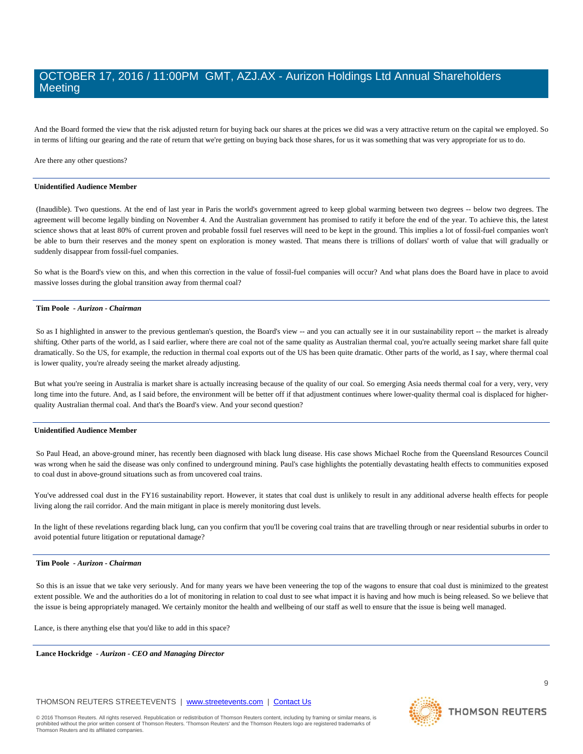And the Board formed the view that the risk adjusted return for buying back our shares at the prices we did was a very attractive return on the capital we employed. So in terms of lifting our gearing and the rate of return that we're getting on buying back those shares, for us it was something that was very appropriate for us to do.

Are there any other questions?

#### **Unidentified Audience Member**

(Inaudible). Two questions. At the end of last year in Paris the world's government agreed to keep global warming between two degrees -- below two degrees. The agreement will become legally binding on November 4. And the Australian government has promised to ratify it before the end of the year. To achieve this, the latest science shows that at least 80% of current proven and probable fossil fuel reserves will need to be kept in the ground. This implies a lot of fossil-fuel companies won't be able to burn their reserves and the money spent on exploration is money wasted. That means there is trillions of dollars' worth of value that will gradually or suddenly disappear from fossil-fuel companies.

So what is the Board's view on this, and when this correction in the value of fossil-fuel companies will occur? And what plans does the Board have in place to avoid massive losses during the global transition away from thermal coal?

#### **Tim Poole** *- Aurizon - Chairman*

So as I highlighted in answer to the previous gentleman's question, the Board's view -- and you can actually see it in our sustainability report -- the market is already shifting. Other parts of the world, as I said earlier, where there are coal not of the same quality as Australian thermal coal, you're actually seeing market share fall quite dramatically. So the US, for example, the reduction in thermal coal exports out of the US has been quite dramatic. Other parts of the world, as I say, where thermal coal is lower quality, you're already seeing the market already adjusting.

But what you're seeing in Australia is market share is actually increasing because of the quality of our coal. So emerging Asia needs thermal coal for a very, very, very long time into the future. And, as I said before, the environment will be better off if that adjustment continues where lower-quality thermal coal is displaced for higherquality Australian thermal coal. And that's the Board's view. And your second question?

### **Unidentified Audience Member**

So Paul Head, an above-ground miner, has recently been diagnosed with black lung disease. His case shows Michael Roche from the Queensland Resources Council was wrong when he said the disease was only confined to underground mining. Paul's case highlights the potentially devastating health effects to communities exposed to coal dust in above-ground situations such as from uncovered coal trains.

You've addressed coal dust in the FY16 sustainability report. However, it states that coal dust is unlikely to result in any additional adverse health effects for people living along the rail corridor. And the main mitigant in place is merely monitoring dust levels.

In the light of these revelations regarding black lung, can you confirm that you'll be covering coal trains that are travelling through or near residential suburbs in order to avoid potential future litigation or reputational damage?

#### **Tim Poole** *- Aurizon - Chairman*

So this is an issue that we take very seriously. And for many years we have been veneering the top of the wagons to ensure that coal dust is minimized to the greatest extent possible. We and the authorities do a lot of monitoring in relation to coal dust to see what impact it is having and how much is being released. So we believe that the issue is being appropriately managed. We certainly monitor the health and wellbeing of our staff as well to ensure that the issue is being well managed.

Lance, is there anything else that you'd like to add in this space?

**Lance Hockridge** *- Aurizon - CEO and Managing Director* 

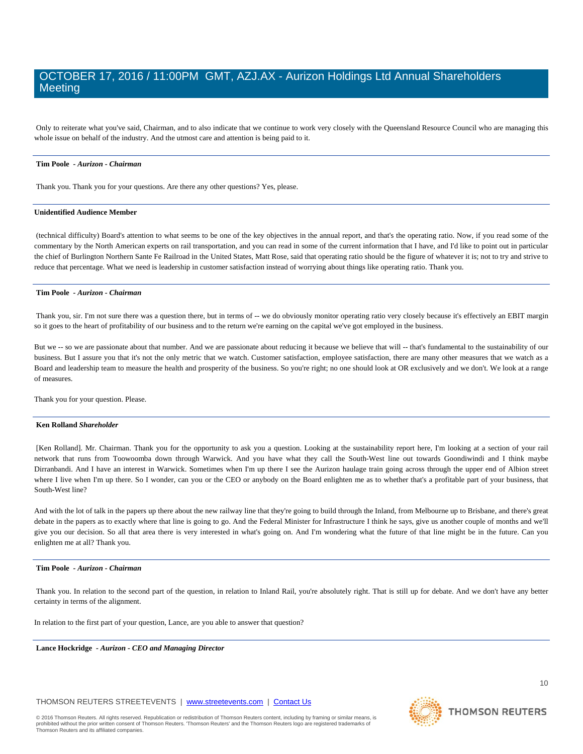Only to reiterate what you've said, Chairman, and to also indicate that we continue to work very closely with the Queensland Resource Council who are managing this whole issue on behalf of the industry. And the utmost care and attention is being paid to it.

#### **Tim Poole** *- Aurizon - Chairman*

Thank you. Thank you for your questions. Are there any other questions? Yes, please.

#### **Unidentified Audience Member**

(technical difficulty) Board's attention to what seems to be one of the key objectives in the annual report, and that's the operating ratio. Now, if you read some of the commentary by the North American experts on rail transportation, and you can read in some of the current information that I have, and I'd like to point out in particular the chief of Burlington Northern Sante Fe Railroad in the United States, Matt Rose, said that operating ratio should be the figure of whatever it is; not to try and strive to reduce that percentage. What we need is leadership in customer satisfaction instead of worrying about things like operating ratio. Thank you.

# **Tim Poole** *- Aurizon - Chairman*

Thank you, sir. I'm not sure there was a question there, but in terms of -- we do obviously monitor operating ratio very closely because it's effectively an EBIT margin so it goes to the heart of profitability of our business and to the return we're earning on the capital we've got employed in the business.

But we -- so we are passionate about that number. And we are passionate about reducing it because we believe that will -- that's fundamental to the sustainability of our business. But I assure you that it's not the only metric that we watch. Customer satisfaction, employee satisfaction, there are many other measures that we watch as a Board and leadership team to measure the health and prosperity of the business. So you're right; no one should look at OR exclusively and we don't. We look at a range of measures.

Thank you for your question. Please.

#### **Ken Rolland** *Shareholder*

[Ken Rolland]. Mr. Chairman. Thank you for the opportunity to ask you a question. Looking at the sustainability report here, I'm looking at a section of your rail network that runs from Toowoomba down through Warwick. And you have what they call the South-West line out towards Goondiwindi and I think maybe Dirranbandi. And I have an interest in Warwick. Sometimes when I'm up there I see the Aurizon haulage train going across through the upper end of Albion street where I live when I'm up there. So I wonder, can you or the CEO or anybody on the Board enlighten me as to whether that's a profitable part of your business, that South-West line?

And with the lot of talk in the papers up there about the new railway line that they're going to build through the Inland, from Melbourne up to Brisbane, and there's great debate in the papers as to exactly where that line is going to go. And the Federal Minister for Infrastructure I think he says, give us another couple of months and we'll give you our decision. So all that area there is very interested in what's going on. And I'm wondering what the future of that line might be in the future. Can you enlighten me at all? Thank you.

#### **Tim Poole** *- Aurizon - Chairman*

Thank you. In relation to the second part of the question, in relation to Inland Rail, you're absolutely right. That is still up for debate. And we don't have any better certainty in terms of the alignment.

In relation to the first part of your question, Lance, are you able to answer that question?

**Lance Hockridge** *- Aurizon - CEO and Managing Director* 

THOMSON REUTERS STREETEVENTS | [www.streetevents.com](http://www.streetevents.com/) | [Contact Us](http://www010.streetevents.com/contact.asp)

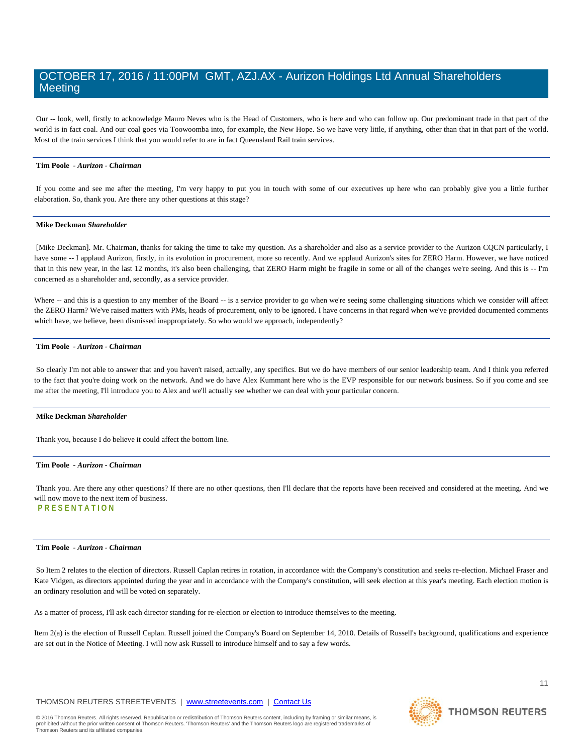Our -- look, well, firstly to acknowledge Mauro Neves who is the Head of Customers, who is here and who can follow up. Our predominant trade in that part of the world is in fact coal. And our coal goes via Toowoomba into, for example, the New Hope. So we have very little, if anything, other than that in that part of the world. Most of the train services I think that you would refer to are in fact Queensland Rail train services.

#### **Tim Poole** *- Aurizon - Chairman*

If you come and see me after the meeting, I'm very happy to put you in touch with some of our executives up here who can probably give you a little further elaboration. So, thank you. Are there any other questions at this stage?

### **Mike Deckman** *Shareholder*

[Mike Deckman]. Mr. Chairman, thanks for taking the time to take my question. As a shareholder and also as a service provider to the Aurizon CQCN particularly, I have some -- I applaud Aurizon, firstly, in its evolution in procurement, more so recently. And we applaud Aurizon's sites for ZERO Harm. However, we have noticed that in this new year, in the last 12 months, it's also been challenging, that ZERO Harm might be fragile in some or all of the changes we're seeing. And this is -- I'm concerned as a shareholder and, secondly, as a service provider.

Where -- and this is a question to any member of the Board -- is a service provider to go when we're seeing some challenging situations which we consider will affect the ZERO Harm? We've raised matters with PMs, heads of procurement, only to be ignored. I have concerns in that regard when we've provided documented comments which have, we believe, been dismissed inappropriately. So who would we approach, independently?

#### **Tim Poole** *- Aurizon - Chairman*

So clearly I'm not able to answer that and you haven't raised, actually, any specifics. But we do have members of our senior leadership team. And I think you referred to the fact that you're doing work on the network. And we do have Alex Kummant here who is the EVP responsible for our network business. So if you come and see me after the meeting, I'll introduce you to Alex and we'll actually see whether we can deal with your particular concern.

#### **Mike Deckman** *Shareholder*

Thank you, because I do believe it could affect the bottom line.

#### **Tim Poole** *- Aurizon - Chairman*

Thank you. Are there any other questions? If there are no other questions, then I'll declare that the reports have been received and considered at the meeting. And we will now move to the next item of business. **PRESENTATION**

# **Tim Poole** *- Aurizon - Chairman*

So Item 2 relates to the election of directors. Russell Caplan retires in rotation, in accordance with the Company's constitution and seeks re-election. Michael Fraser and Kate Vidgen, as directors appointed during the year and in accordance with the Company's constitution, will seek election at this year's meeting. Each election motion is an ordinary resolution and will be voted on separately.

As a matter of process, I'll ask each director standing for re-election or election to introduce themselves to the meeting.

Item 2(a) is the election of Russell Caplan. Russell joined the Company's Board on September 14, 2010. Details of Russell's background, qualifications and experience are set out in the Notice of Meeting. I will now ask Russell to introduce himself and to say a few words.

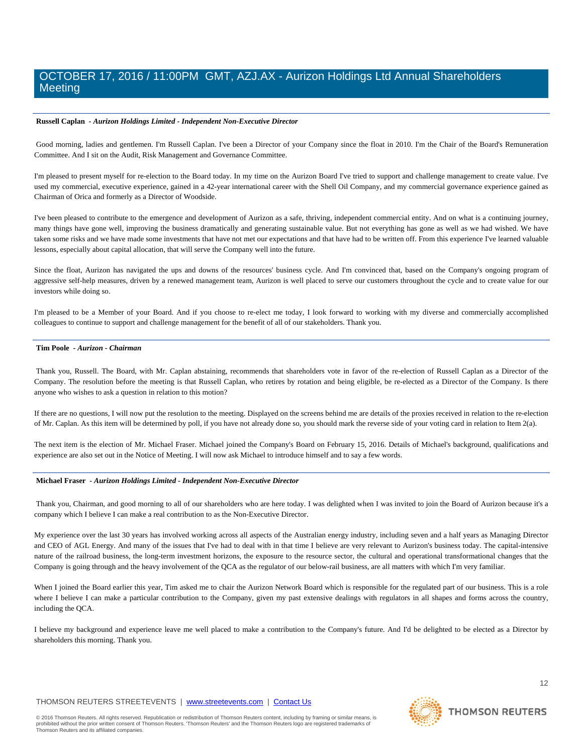### **Russell Caplan** *- Aurizon Holdings Limited - Independent Non-Executive Director*

Good morning, ladies and gentlemen. I'm Russell Caplan. I've been a Director of your Company since the float in 2010. I'm the Chair of the Board's Remuneration Committee. And I sit on the Audit, Risk Management and Governance Committee.

I'm pleased to present myself for re-election to the Board today. In my time on the Aurizon Board I've tried to support and challenge management to create value. I've used my commercial, executive experience, gained in a 42-year international career with the Shell Oil Company, and my commercial governance experience gained as Chairman of Orica and formerly as a Director of Woodside.

I've been pleased to contribute to the emergence and development of Aurizon as a safe, thriving, independent commercial entity. And on what is a continuing journey, many things have gone well, improving the business dramatically and generating sustainable value. But not everything has gone as well as we had wished. We have taken some risks and we have made some investments that have not met our expectations and that have had to be written off. From this experience I've learned valuable lessons, especially about capital allocation, that will serve the Company well into the future.

Since the float, Aurizon has navigated the ups and downs of the resources' business cycle. And I'm convinced that, based on the Company's ongoing program of aggressive self-help measures, driven by a renewed management team, Aurizon is well placed to serve our customers throughout the cycle and to create value for our investors while doing so.

I'm pleased to be a Member of your Board. And if you choose to re-elect me today, I look forward to working with my diverse and commercially accomplished colleagues to continue to support and challenge management for the benefit of all of our stakeholders. Thank you.

#### **Tim Poole** *- Aurizon - Chairman*

Thank you, Russell. The Board, with Mr. Caplan abstaining, recommends that shareholders vote in favor of the re-election of Russell Caplan as a Director of the Company. The resolution before the meeting is that Russell Caplan, who retires by rotation and being eligible, be re-elected as a Director of the Company. Is there anyone who wishes to ask a question in relation to this motion?

If there are no questions, I will now put the resolution to the meeting. Displayed on the screens behind me are details of the proxies received in relation to the re-election of Mr. Caplan. As this item will be determined by poll, if you have not already done so, you should mark the reverse side of your voting card in relation to Item 2(a).

The next item is the election of Mr. Michael Fraser. Michael joined the Company's Board on February 15, 2016. Details of Michael's background, qualifications and experience are also set out in the Notice of Meeting. I will now ask Michael to introduce himself and to say a few words.

#### **Michael Fraser** *- Aurizon Holdings Limited - Independent Non-Executive Director*

Thank you, Chairman, and good morning to all of our shareholders who are here today. I was delighted when I was invited to join the Board of Aurizon because it's a company which I believe I can make a real contribution to as the Non-Executive Director.

My experience over the last 30 years has involved working across all aspects of the Australian energy industry, including seven and a half years as Managing Director and CEO of AGL Energy. And many of the issues that I've had to deal with in that time I believe are very relevant to Aurizon's business today. The capital-intensive nature of the railroad business, the long-term investment horizons, the exposure to the resource sector, the cultural and operational transformational changes that the Company is going through and the heavy involvement of the QCA as the regulator of our below-rail business, are all matters with which I'm very familiar.

When I joined the Board earlier this year, Tim asked me to chair the Aurizon Network Board which is responsible for the regulated part of our business. This is a role where I believe I can make a particular contribution to the Company, given my past extensive dealings with regulators in all shapes and forms across the country, including the QCA.

I believe my background and experience leave me well placed to make a contribution to the Company's future. And I'd be delighted to be elected as a Director by shareholders this morning. Thank you.

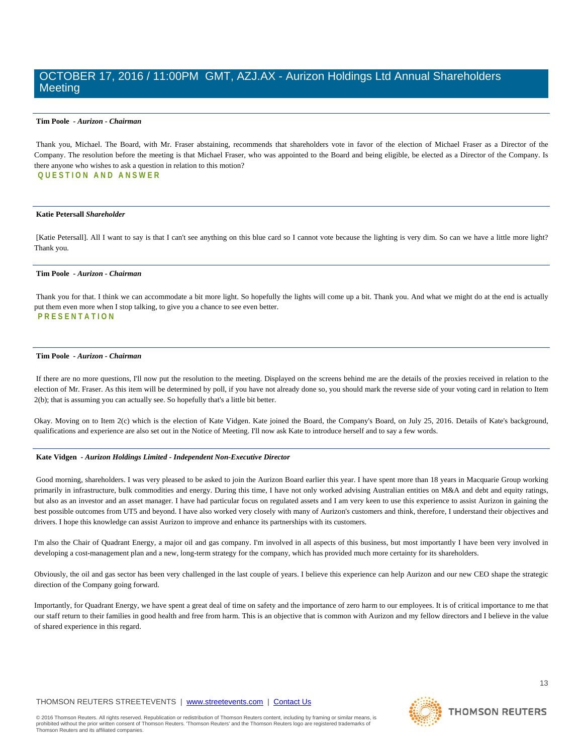#### **Tim Poole** *- Aurizon - Chairman*

Thank you, Michael. The Board, with Mr. Fraser abstaining, recommends that shareholders vote in favor of the election of Michael Fraser as a Director of the Company. The resolution before the meeting is that Michael Fraser, who was appointed to the Board and being eligible, be elected as a Director of the Company. Is there anyone who wishes to ask a question in relation to this motion? **QUESTION AND ANSWER**

#### **Katie Petersall** *Shareholder*

[Katie Petersall]. All I want to say is that I can't see anything on this blue card so I cannot vote because the lighting is very dim. So can we have a little more light? Thank you.

#### **Tim Poole** *- Aurizon - Chairman*

Thank you for that. I think we can accommodate a bit more light. So hopefully the lights will come up a bit. Thank you. And what we might do at the end is actually put them even more when I stop talking, to give you a chance to see even better. **PRESENTATION**

#### **Tim Poole** *- Aurizon - Chairman*

If there are no more questions, I'll now put the resolution to the meeting. Displayed on the screens behind me are the details of the proxies received in relation to the election of Mr. Fraser. As this item will be determined by poll, if you have not already done so, you should mark the reverse side of your voting card in relation to Item 2(b); that is assuming you can actually see. So hopefully that's a little bit better.

Okay. Moving on to Item 2(c) which is the election of Kate Vidgen. Kate joined the Board, the Company's Board, on July 25, 2016. Details of Kate's background, qualifications and experience are also set out in the Notice of Meeting. I'll now ask Kate to introduce herself and to say a few words.

#### **Kate Vidgen** *- Aurizon Holdings Limited - Independent Non-Executive Director*

Good morning, shareholders. I was very pleased to be asked to join the Aurizon Board earlier this year. I have spent more than 18 years in Macquarie Group working primarily in infrastructure, bulk commodities and energy. During this time, I have not only worked advising Australian entities on M&A and debt and equity ratings, but also as an investor and an asset manager. I have had particular focus on regulated assets and I am very keen to use this experience to assist Aurizon in gaining the best possible outcomes from UT5 and beyond. I have also worked very closely with many of Aurizon's customers and think, therefore, I understand their objectives and drivers. I hope this knowledge can assist Aurizon to improve and enhance its partnerships with its customers.

I'm also the Chair of Quadrant Energy, a major oil and gas company. I'm involved in all aspects of this business, but most importantly I have been very involved in developing a cost-management plan and a new, long-term strategy for the company, which has provided much more certainty for its shareholders.

Obviously, the oil and gas sector has been very challenged in the last couple of years. I believe this experience can help Aurizon and our new CEO shape the strategic direction of the Company going forward.

Importantly, for Quadrant Energy, we have spent a great deal of time on safety and the importance of zero harm to our employees. It is of critical importance to me that our staff return to their families in good health and free from harm. This is an objective that is common with Aurizon and my fellow directors and I believe in the value of shared experience in this regard.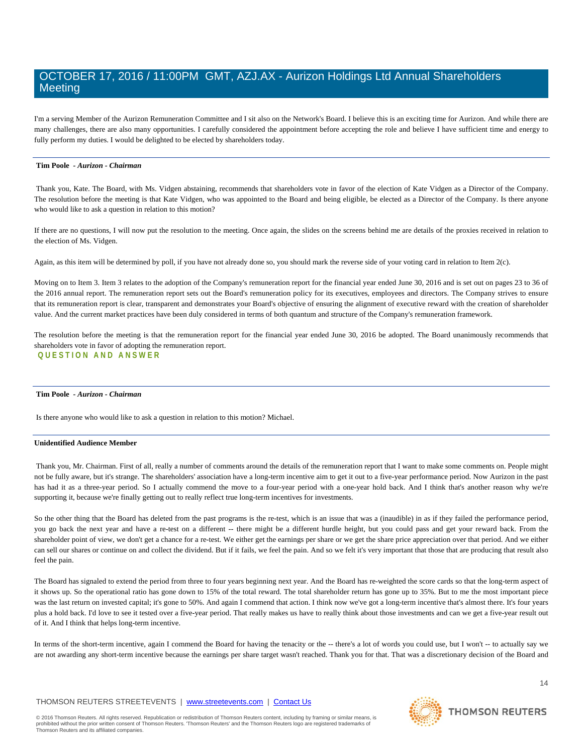I'm a serving Member of the Aurizon Remuneration Committee and I sit also on the Network's Board. I believe this is an exciting time for Aurizon. And while there are many challenges, there are also many opportunities. I carefully considered the appointment before accepting the role and believe I have sufficient time and energy to fully perform my duties. I would be delighted to be elected by shareholders today.

#### **Tim Poole** *- Aurizon - Chairman*

Thank you, Kate. The Board, with Ms. Vidgen abstaining, recommends that shareholders vote in favor of the election of Kate Vidgen as a Director of the Company. The resolution before the meeting is that Kate Vidgen, who was appointed to the Board and being eligible, be elected as a Director of the Company. Is there anyone who would like to ask a question in relation to this motion?

If there are no questions, I will now put the resolution to the meeting. Once again, the slides on the screens behind me are details of the proxies received in relation to the election of Ms. Vidgen.

Again, as this item will be determined by poll, if you have not already done so, you should mark the reverse side of your voting card in relation to Item 2(c).

Moving on to Item 3. Item 3 relates to the adoption of the Company's remuneration report for the financial year ended June 30, 2016 and is set out on pages 23 to 36 of the 2016 annual report. The remuneration report sets out the Board's remuneration policy for its executives, employees and directors. The Company strives to ensure that its remuneration report is clear, transparent and demonstrates your Board's objective of ensuring the alignment of executive reward with the creation of shareholder value. And the current market practices have been duly considered in terms of both quantum and structure of the Company's remuneration framework.

The resolution before the meeting is that the remuneration report for the financial year ended June 30, 2016 be adopted. The Board unanimously recommends that shareholders vote in favor of adopting the remuneration report. **QUESTION AND ANSWER**

### **Tim Poole** *- Aurizon - Chairman*

Is there anyone who would like to ask a question in relation to this motion? Michael.

#### **Unidentified Audience Member**

Thank you, Mr. Chairman. First of all, really a number of comments around the details of the remuneration report that I want to make some comments on. People might not be fully aware, but it's strange. The shareholders' association have a long-term incentive aim to get it out to a five-year performance period. Now Aurizon in the past has had it as a three-year period. So I actually commend the move to a four-year period with a one-year hold back. And I think that's another reason why we're supporting it, because we're finally getting out to really reflect true long-term incentives for investments.

So the other thing that the Board has deleted from the past programs is the re-test, which is an issue that was a (inaudible) in as if they failed the performance period, you go back the next year and have a re-test on a different -- there might be a different hurdle height, but you could pass and get your reward back. From the shareholder point of view, we don't get a chance for a re-test. We either get the earnings per share or we get the share price appreciation over that period. And we either can sell our shares or continue on and collect the dividend. But if it fails, we feel the pain. And so we felt it's very important that those that are producing that result also feel the pain.

The Board has signaled to extend the period from three to four years beginning next year. And the Board has re-weighted the score cards so that the long-term aspect of it shows up. So the operational ratio has gone down to 15% of the total reward. The total shareholder return has gone up to 35%. But to me the most important piece was the last return on invested capital; it's gone to 50%. And again I commend that action. I think now we've got a long-term incentive that's almost there. It's four years plus a hold back. I'd love to see it tested over a five-year period. That really makes us have to really think about those investments and can we get a five-year result out of it. And I think that helps long-term incentive.

In terms of the short-term incentive, again I commend the Board for having the tenacity or the -- there's a lot of words you could use, but I won't -- to actually say we are not awarding any short-term incentive because the earnings per share target wasn't reached. Thank you for that. That was a discretionary decision of the Board and

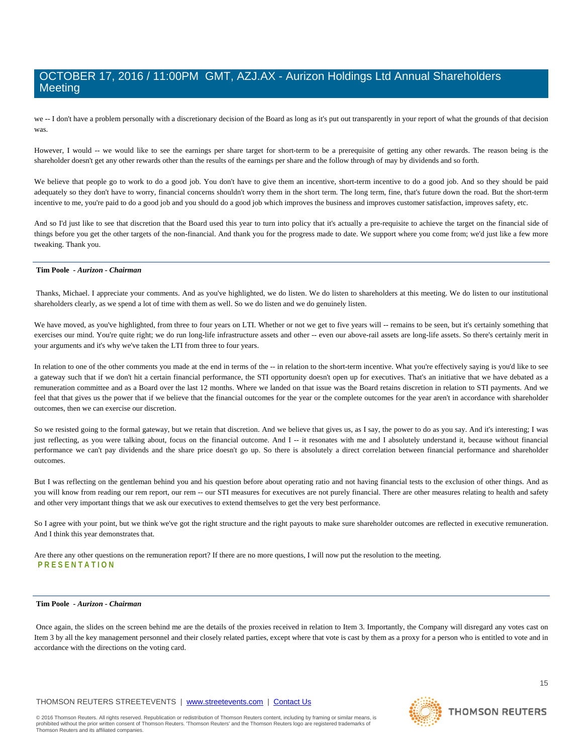we -- I don't have a problem personally with a discretionary decision of the Board as long as it's put out transparently in your report of what the grounds of that decision was

However, I would -- we would like to see the earnings per share target for short-term to be a prerequisite of getting any other rewards. The reason being is the shareholder doesn't get any other rewards other than the results of the earnings per share and the follow through of may by dividends and so forth.

We believe that people go to work to do a good job. You don't have to give them an incentive, short-term incentive to do a good job. And so they should be paid adequately so they don't have to worry, financial concerns shouldn't worry them in the short term. The long term, fine, that's future down the road. But the short-term incentive to me, you're paid to do a good job and you should do a good job which improves the business and improves customer satisfaction, improves safety, etc.

And so I'd just like to see that discretion that the Board used this year to turn into policy that it's actually a pre-requisite to achieve the target on the financial side of things before you get the other targets of the non-financial. And thank you for the progress made to date. We support where you come from; we'd just like a few more tweaking. Thank you.

#### **Tim Poole** *- Aurizon - Chairman*

Thanks, Michael. I appreciate your comments. And as you've highlighted, we do listen. We do listen to shareholders at this meeting. We do listen to our institutional shareholders clearly, as we spend a lot of time with them as well. So we do listen and we do genuinely listen.

We have moved, as you've highlighted, from three to four years on LTI. Whether or not we get to five years will -- remains to be seen, but it's certainly something that exercises our mind. You're quite right; we do run long-life infrastructure assets and other -- even our above-rail assets are long-life assets. So there's certainly merit in your arguments and it's why we've taken the LTI from three to four years.

In relation to one of the other comments you made at the end in terms of the -- in relation to the short-term incentive. What you're effectively saying is you'd like to see a gateway such that if we don't hit a certain financial performance, the STI opportunity doesn't open up for executives. That's an initiative that we have debated as a remuneration committee and as a Board over the last 12 months. Where we landed on that issue was the Board retains discretion in relation to STI payments. And we feel that that gives us the power that if we believe that the financial outcomes for the year or the complete outcomes for the year aren't in accordance with shareholder outcomes, then we can exercise our discretion.

So we resisted going to the formal gateway, but we retain that discretion. And we believe that gives us, as I say, the power to do as you say. And it's interesting; I was just reflecting, as you were talking about, focus on the financial outcome. And I -- it resonates with me and I absolutely understand it, because without financial performance we can't pay dividends and the share price doesn't go up. So there is absolutely a direct correlation between financial performance and shareholder outcomes.

But I was reflecting on the gentleman behind you and his question before about operating ratio and not having financial tests to the exclusion of other things. And as you will know from reading our rem report, our rem -- our STI measures for executives are not purely financial. There are other measures relating to health and safety and other very important things that we ask our executives to extend themselves to get the very best performance.

So I agree with your point, but we think we've got the right structure and the right payouts to make sure shareholder outcomes are reflected in executive remuneration. And I think this year demonstrates that.

Are there any other questions on the remuneration report? If there are no more questions, I will now put the resolution to the meeting. **PRESENTATION**

#### **Tim Poole** *- Aurizon - Chairman*

Once again, the slides on the screen behind me are the details of the proxies received in relation to Item 3. Importantly, the Company will disregard any votes cast on Item 3 by all the key management personnel and their closely related parties, except where that vote is cast by them as a proxy for a person who is entitled to vote and in accordance with the directions on the voting card.

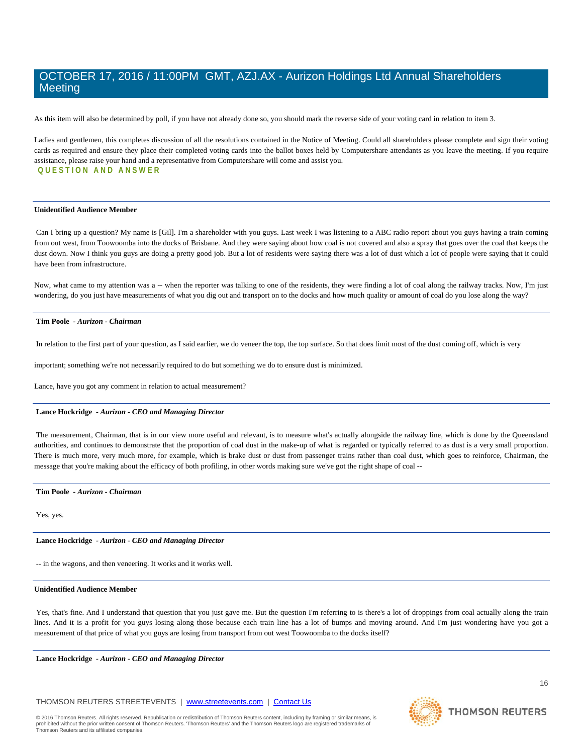As this item will also be determined by poll, if you have not already done so, you should mark the reverse side of your voting card in relation to item 3.

Ladies and gentlemen, this completes discussion of all the resolutions contained in the Notice of Meeting. Could all shareholders please complete and sign their voting cards as required and ensure they place their completed voting cards into the ballot boxes held by Computershare attendants as you leave the meeting. If you require assistance, please raise your hand and a representative from Computershare will come and assist you. **QUESTION AND ANS WER**

### **Unidentified Audience Member**

Can I bring up a question? My name is [Gil]. I'm a shareholder with you guys. Last week I was listening to a ABC radio report about you guys having a train coming from out west, from Toowoomba into the docks of Brisbane. And they were saying about how coal is not covered and also a spray that goes over the coal that keeps the dust down. Now I think you guys are doing a pretty good job. But a lot of residents were saying there was a lot of dust which a lot of people were saying that it could have been from infrastructure.

Now, what came to my attention was a -- when the reporter was talking to one of the residents, they were finding a lot of coal along the railway tracks. Now, I'm just wondering, do you just have measurements of what you dig out and transport on to the docks and how much quality or amount of coal do you lose along the way?

#### **Tim Poole** *- Aurizon - Chairman*

In relation to the first part of your question, as I said earlier, we do veneer the top, the top surface. So that does limit most of the dust coming off, which is very

important; something we're not necessarily required to do but something we do to ensure dust is minimized.

Lance, have you got any comment in relation to actual measurement?

#### **Lance Hockridge** *- Aurizon - CEO and Managing Director*

The measurement, Chairman, that is in our view more useful and relevant, is to measure what's actually alongside the railway line, which is done by the Queensland authorities, and continues to demonstrate that the proportion of coal dust in the make-up of what is regarded or typically referred to as dust is a very small proportion. There is much more, very much more, for example, which is brake dust or dust from passenger trains rather than coal dust, which goes to reinforce, Chairman, the message that you're making about the efficacy of both profiling, in other words making sure we've got the right shape of coal --

#### **Tim Poole** *- Aurizon - Chairman*

Yes, yes.

#### **Lance Hockridge** *- Aurizon - CEO and Managing Director*

-- in the wagons, and then veneering. It works and it works well.

#### **Unidentified Audience Member**

Yes, that's fine. And I understand that question that you just gave me. But the question I'm referring to is there's a lot of droppings from coal actually along the train lines. And it is a profit for you guys losing along those because each train line has a lot of bumps and moving around. And I'm just wondering have you got a measurement of that price of what you guys are losing from transport from out west Toowoomba to the docks itself?

**Lance Hockridge** *- Aurizon - CEO and Managing Director* 

### THOMSON REUTERS STREETEVENTS | [www.streetevents.com](http://www.streetevents.com/) | [Contact Us](http://www010.streetevents.com/contact.asp)